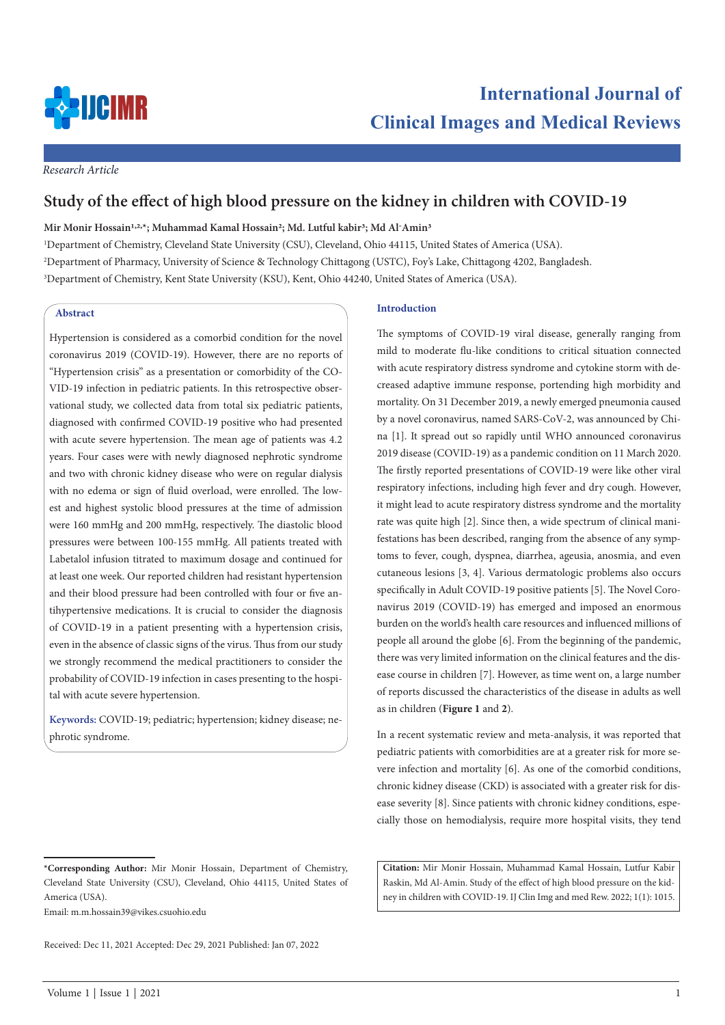

*Research Article*

# **Study of the effect of high blood pressure on the kidney in children with COVID-19**

**Mir Monir Hossain1,2,\*; Muhammad Kamal Hossain2; Md. Lutful kabir3; Md Al-Amin3**

1 Department of Chemistry, Cleveland State University (CSU), Cleveland, Ohio 44115, United States of America (USA). 2 Department of Pharmacy, University of Science & Technology Chittagong (USTC), Foy's Lake, Chittagong 4202, Bangladesh. 3 Department of Chemistry, Kent State University (KSU), Kent, Ohio 44240, United States of America (USA).

## **Abstract**

Hypertension is considered as a comorbid condition for the novel coronavirus 2019 (COVID-19). However, there are no reports of "Hypertension crisis" as a presentation or comorbidity of the CO-VID-19 infection in pediatric patients. In this retrospective observational study, we collected data from total six pediatric patients, diagnosed with confirmed COVID-19 positive who had presented with acute severe hypertension. The mean age of patients was 4.2 years. Four cases were with newly diagnosed nephrotic syndrome and two with chronic kidney disease who were on regular dialysis with no edema or sign of fluid overload, were enrolled. The lowest and highest systolic blood pressures at the time of admission were 160 mmHg and 200 mmHg, respectively. The diastolic blood pressures were between 100-155 mmHg. All patients treated with Labetalol infusion titrated to maximum dosage and continued for at least one week. Our reported children had resistant hypertension and their blood pressure had been controlled with four or five antihypertensive medications. It is crucial to consider the diagnosis of COVID-19 in a patient presenting with a hypertension crisis, even in the absence of classic signs of the virus. Thus from our study we strongly recommend the medical practitioners to consider the probability of COVID-19 infection in cases presenting to the hospital with acute severe hypertension.

**Keywords:** COVID-19; pediatric; hypertension; kidney disease; nephrotic syndrome.

Email: m.m.hossain39@vikes.csuohio.edu

#### **Introduction**

The symptoms of COVID-19 viral disease, generally ranging from mild to moderate flu-like conditions to critical situation connected with acute respiratory distress syndrome and cytokine storm with decreased adaptive immune response, portending high morbidity and mortality. On 31 December 2019, a newly emerged pneumonia caused by a novel coronavirus, named SARS-CoV-2, was announced by China [1]. It spread out so rapidly until WHO announced coronavirus 2019 disease (COVID-19) as a pandemic condition on 11 March 2020. The firstly reported presentations of COVID-19 were like other viral respiratory infections, including high fever and dry cough. However, it might lead to acute respiratory distress syndrome and the mortality rate was quite high [2]. Since then, a wide spectrum of clinical manifestations has been described, ranging from the absence of any symptoms to fever, cough, dyspnea, diarrhea, ageusia, anosmia, and even cutaneous lesions [3, 4]. Various dermatologic problems also occurs specifically in Adult COVID-19 positive patients [5]. The Novel Coronavirus 2019 (COVID-19) has emerged and imposed an enormous burden on the world's health care resources and influenced millions of people all around the globe [6]. From the beginning of the pandemic, there was very limited information on the clinical features and the disease course in children [7]. However, as time went on, a large number of reports discussed the characteristics of the disease in adults as well as in children (**Figure 1** and **2**).

In a recent systematic review and meta-analysis, it was reported that pediatric patients with comorbidities are at a greater risk for more severe infection and mortality [6]. As one of the comorbid conditions, chronic kidney disease (CKD) is associated with a greater risk for disease severity [8]. Since patients with chronic kidney conditions, especially those on hemodialysis, require more hospital visits, they tend

**Citation:** Mir Monir Hossain, Muhammad Kamal Hossain, Lutfur Kabir Raskin, Md Al-Amin. Study of the effect of high blood pressure on the kidney in children with COVID-19. IJ Clin Img and med Rew. 2022; 1(1): 1015.

**<sup>\*</sup>Corresponding Author:** Mir Monir Hossain, Department of Chemistry, Cleveland State University (CSU), Cleveland, Ohio 44115, United States of America (USA).

Received: Dec 11, 2021 Accepted: Dec 29, 2021 Published: Jan 07, 2022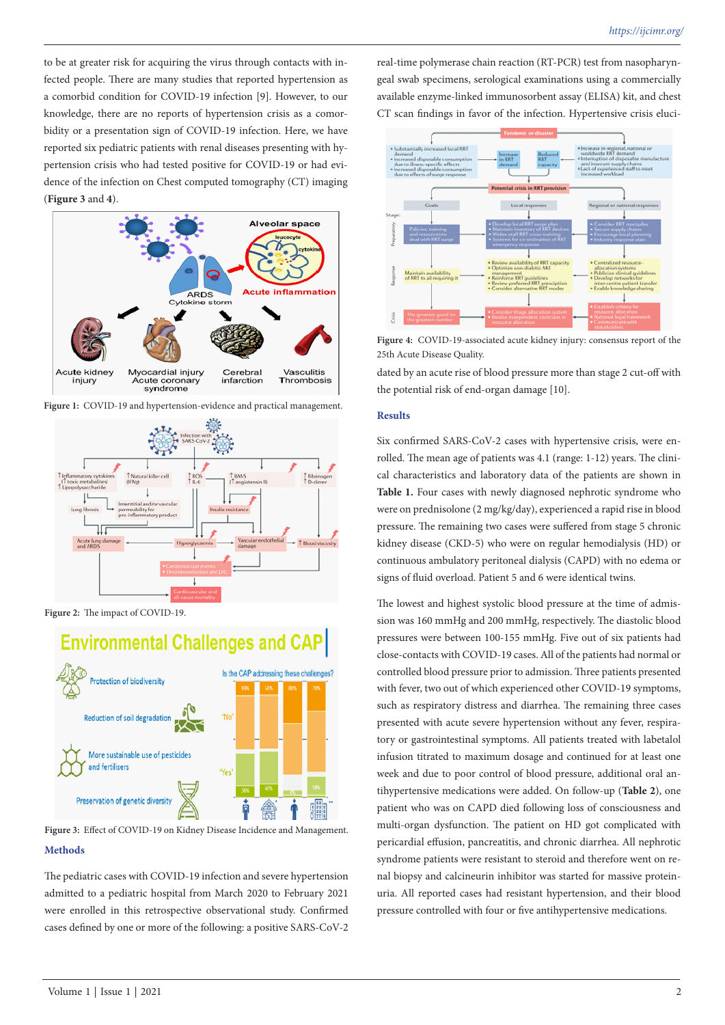to be at greater risk for acquiring the virus through contacts with infected people. There are many studies that reported hypertension as a comorbid condition for COVID-19 infection [9]. However, to our knowledge, there are no reports of hypertension crisis as a comorbidity or a presentation sign of COVID-19 infection. Here, we have reported six pediatric patients with renal diseases presenting with hypertension crisis who had tested positive for COVID-19 or had evidence of the infection on Chest computed tomography (CT) imaging (**Figure 3** and **4**).



Figure 1: COVID-19 and hypertension-evidence and practical management.



**Figure 2:** The impact of COVID-19.



**Methods Figure 3:** Effect of COVID-19 on Kidney Disease Incidence and Management.

The pediatric cases with COVID-19 infection and severe hypertension admitted to a pediatric hospital from March 2020 to February 2021 were enrolled in this retrospective observational study. Confirmed cases defined by one or more of the following: a positive SARS-CoV-2 real-time polymerase chain reaction (RT-PCR) test from nasopharyngeal swab specimens, serological examinations using a commercially available enzyme-linked immunosorbent assay (ELISA) kit, and chest CT scan findings in favor of the infection. Hypertensive crisis eluci-



**Figure 4:** COVID-19-associated acute kidney injury: consensus report of the 25th Acute Disease Quality.

dated by an acute rise of blood pressure more than stage 2 cut-off with the potential risk of end-organ damage [10].

#### **Results**

Six confirmed SARS-CoV-2 cases with hypertensive crisis, were enrolled. The mean age of patients was 4.1 (range: 1-12) years. The clinical characteristics and laboratory data of the patients are shown in **Table 1.** Four cases with newly diagnosed nephrotic syndrome who were on prednisolone (2 mg/kg/day), experienced a rapid rise in blood pressure. The remaining two cases were suffered from stage 5 chronic kidney disease (CKD‐5) who were on regular hemodialysis (HD) or continuous ambulatory peritoneal dialysis (CAPD) with no edema or signs of fluid overload. Patient 5 and 6 were identical twins.

The lowest and highest systolic blood pressure at the time of admission was 160 mmHg and 200 mmHg, respectively. The diastolic blood pressures were between 100-155 mmHg. Five out of six patients had close-contacts with COVID-19 cases. All of the patients had normal or controlled blood pressure prior to admission. Three patients presented with fever, two out of which experienced other COVID-19 symptoms, such as respiratory distress and diarrhea. The remaining three cases presented with acute severe hypertension without any fever, respiratory or gastrointestinal symptoms. All patients treated with labetalol infusion titrated to maximum dosage and continued for at least one week and due to poor control of blood pressure, additional oral antihypertensive medications were added. On follow-up (**Table 2**), one patient who was on CAPD died following loss of consciousness and multi-organ dysfunction. The patient on HD got complicated with pericardial effusion, pancreatitis, and chronic diarrhea. All nephrotic syndrome patients were resistant to steroid and therefore went on renal biopsy and calcineurin inhibitor was started for massive proteinuria. All reported cases had resistant hypertension, and their blood pressure controlled with four or five antihypertensive medications.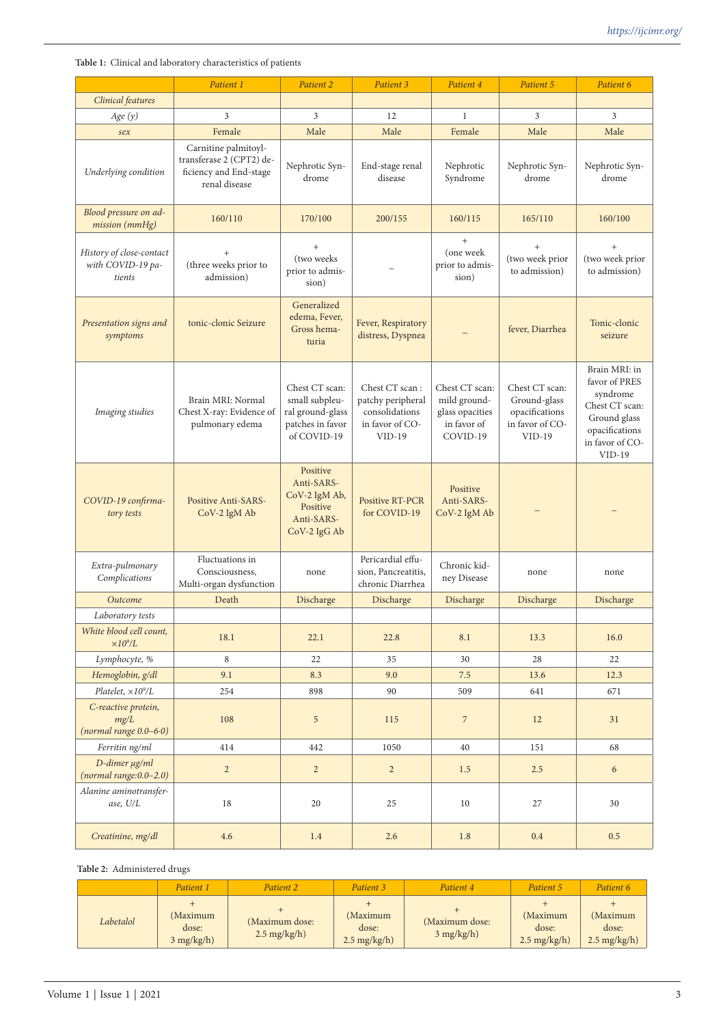**Table 1:** Clinical and laboratory characteristics of patients

|                                                         | Patient 1                                                                                   | Patient 2                                                                               | Patient 3                                                                            | Patient 4                                                                    | Patient 5                                                                       | Patient 6                                                                                                                     |
|---------------------------------------------------------|---------------------------------------------------------------------------------------------|-----------------------------------------------------------------------------------------|--------------------------------------------------------------------------------------|------------------------------------------------------------------------------|---------------------------------------------------------------------------------|-------------------------------------------------------------------------------------------------------------------------------|
| Clinical features                                       |                                                                                             |                                                                                         |                                                                                      |                                                                              |                                                                                 |                                                                                                                               |
| Age(y)                                                  | 3                                                                                           | 3                                                                                       | 12                                                                                   | $\mathbf{1}$                                                                 | 3                                                                               | 3                                                                                                                             |
| sex                                                     | Female                                                                                      | Male                                                                                    | Male                                                                                 | Female                                                                       | Male                                                                            | Male                                                                                                                          |
| Underlying condition                                    | Carnitine palmitoyl-<br>transferase 2 (CPT2) de-<br>ficiency and End-stage<br>renal disease | Nephrotic Syn-<br>drome                                                                 | End-stage renal<br>disease                                                           | Nephrotic<br>Syndrome                                                        | Nephrotic Syn-<br>drome                                                         | Nephrotic Syn-<br>drome                                                                                                       |
| Blood pressure on ad-<br>mission (mmHg)                 | 160/110                                                                                     | 170/100                                                                                 | 200/155                                                                              | 160/115                                                                      | 165/110                                                                         | 160/100                                                                                                                       |
| History of close-contact<br>with COVID-19 pa-<br>tients | (three weeks prior to<br>admission)                                                         | $+$<br>(two weeks<br>prior to admis-<br>sion)                                           |                                                                                      | $+$<br>(one week<br>prior to admis-<br>sion)                                 | (two week prior<br>to admission)                                                | (two week prior<br>to admission)                                                                                              |
| Presentation signs and<br>symptoms                      | tonic-clonic Seizure                                                                        | Generalized<br>edema, Fever,<br>Gross hema-<br>turia                                    | Fever, Respiratory<br>distress, Dyspnea                                              |                                                                              | fever, Diarrhea                                                                 | Tonic-clonic<br>seizure                                                                                                       |
| Imaging studies                                         | Brain MRI: Normal<br>Chest X-ray: Evidence of<br>pulmonary edema                            | Chest CT scan:<br>small subpleu-<br>ral ground-glass<br>patches in favor<br>of COVID-19 | Chest CT scan:<br>patchy peripheral<br>consolidations<br>in favor of CO-<br>$VID-19$ | Chest CT scan:<br>mild ground-<br>glass opacities<br>in favor of<br>COVID-19 | Chest CT scan:<br>Ground-glass<br>opacifications<br>in favor of CO-<br>$VID-19$ | Brain MRI: in<br>favor of PRES<br>syndrome<br>Chest CT scan:<br>Ground glass<br>opacifications<br>in favor of CO-<br>$VID-19$ |
| COVID-19 confirma-<br>tory tests                        | <b>Positive Anti-SARS-</b><br>CoV-2 IgM Ab                                                  | Positive<br>Anti-SARS-<br>CoV-2 IgM Ab,<br>Positive<br>Anti-SARS-<br>CoV-2 IgG Ab       | <b>Positive RT-PCR</b><br>for COVID-19                                               | Positive<br>Anti-SARS-<br>CoV-2 IgM Ab                                       |                                                                                 |                                                                                                                               |
| Extra-pulmonary<br>Complications                        | Fluctuations in<br>Consciousness,<br>Multi-organ dysfunction                                | none                                                                                    | Pericardial effu-<br>sion, Pancreatitis,<br>chronic Diarrhea                         | Chronic kid-<br>ney Disease                                                  | none                                                                            | none                                                                                                                          |
| Outcome                                                 | Death                                                                                       | Discharge                                                                               | Discharge                                                                            | Discharge                                                                    | Discharge                                                                       | Discharge                                                                                                                     |
| Laboratory tests                                        |                                                                                             |                                                                                         |                                                                                      |                                                                              |                                                                                 |                                                                                                                               |
| White blood cell count,<br>$\times 10^9\!/\!L$          | 18.1                                                                                        | 22.1                                                                                    | 22.8                                                                                 | 8.1                                                                          | 13.3                                                                            | 16.0                                                                                                                          |
| Lymphocyte, %                                           | 8                                                                                           | 22                                                                                      | 35                                                                                   | 30                                                                           | 28                                                                              | 22                                                                                                                            |
| Hemoglobin, g/dl                                        | 9.1                                                                                         | 8.3                                                                                     | 9.0                                                                                  | 7.5                                                                          | 13.6                                                                            | 12.3                                                                                                                          |
| Platelet, $\times 10^9/L$                               | 254                                                                                         | 898                                                                                     | 90                                                                                   | 509                                                                          | 641                                                                             | 671                                                                                                                           |
| C-reactive protein,<br>mg/L<br>$(normal range 0.0-6.0)$ | 108                                                                                         | $\sqrt{5}$                                                                              | 115                                                                                  | $\sqrt{2}$                                                                   | 12                                                                              | 31                                                                                                                            |
| Ferritin ng/ml                                          | 414                                                                                         | 442                                                                                     | 1050                                                                                 | 40                                                                           | 151                                                                             | 68                                                                                                                            |
| D-dimer µg/ml<br>$(normal range: 0.0-2.0)$              | $\overline{2}$                                                                              | $\sqrt{2}$                                                                              | $\overline{2}$                                                                       | $1.5\,$                                                                      | $2.5\,$                                                                         | $\epsilon$                                                                                                                    |
| Alanine aminotransfer-<br>ase, U/L                      | 18                                                                                          |                                                                                         | 25                                                                                   | 10                                                                           | 27                                                                              | 30                                                                                                                            |
| Creatinine, mg/dl                                       | 4.6                                                                                         | 1.4                                                                                     | 2.6                                                                                  | 1.8                                                                          | 0.4                                                                             | 0.5                                                                                                                           |

## **Table 2:** Administered drugs

|           | Patient 1                         | Patient 2                               | Patient 3                                  | Patient 4                      | Patient 5                                  | Patient 6                                  |
|-----------|-----------------------------------|-----------------------------------------|--------------------------------------------|--------------------------------|--------------------------------------------|--------------------------------------------|
| Labetalol | (Maximum<br>dose:<br>$3$ mg/kg/h) | (Maximum dose:<br>$2.5 \text{ mg/kg/h}$ | (Maximum<br>dose:<br>$2.5 \text{ mg/kg/h}$ | (Maximum dose:<br>$3$ mg/kg/h) | (Maximum<br>dose:<br>$2.5 \text{ mg/kg/h}$ | (Maximum<br>dose:<br>$2.5 \text{ mg/kg/h}$ |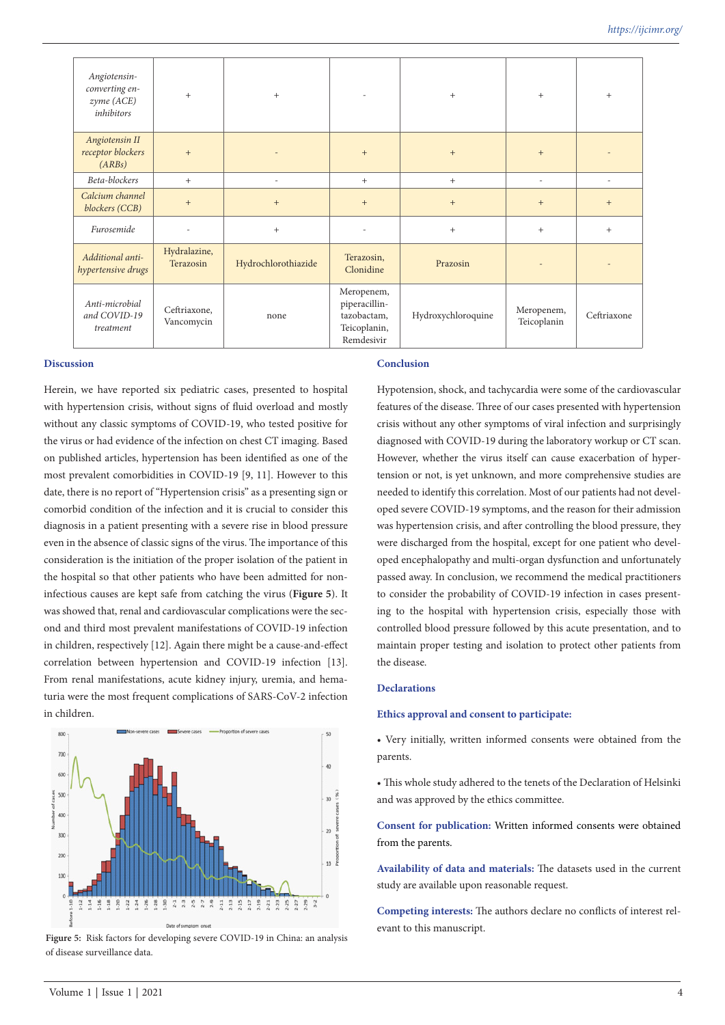| Angiotensin-<br>converting en-<br>zyme (ACE)<br>inhibitors | $+$                        | $+$                 | ٠                                                                        | $+$                | $+$                       | $^{+}$                           |
|------------------------------------------------------------|----------------------------|---------------------|--------------------------------------------------------------------------|--------------------|---------------------------|----------------------------------|
| Angiotensin II<br>receptor blockers<br>(ARBs)              | $+$                        |                     | $\qquad \qquad +$                                                        | $+$                | $+$                       |                                  |
| Beta-blockers                                              | $+$                        |                     | $+$                                                                      | $+$                | ٠                         | $\overline{a}$                   |
| Calcium channel<br>blockers (CCB)                          | $+$                        | $+$                 | $\begin{array}{c} + \end{array}$                                         | $+$                | $+$                       | $\begin{array}{c} + \end{array}$ |
| Furosemide                                                 |                            | $+$                 |                                                                          | $+$                | $+$                       | $+$                              |
| Additional anti-<br>hypertensive drugs                     | Hydralazine,<br>Terazosin  | Hydrochlorothiazide | Terazosin,<br>Clonidine                                                  | Prazosin           |                           |                                  |
| Anti-microbial<br>and COVID-19<br>treatment                | Ceftriaxone,<br>Vancomycin | none                | Meropenem,<br>piperacillin-<br>tazobactam,<br>Teicoplanin,<br>Remdesivir | Hydroxychloroquine | Meropenem,<br>Teicoplanin | Ceftriaxone                      |

#### **Discussion**

Herein, we have reported six pediatric cases, presented to hospital with hypertension crisis, without signs of fluid overload and mostly without any classic symptoms of COVID-19, who tested positive for the virus or had evidence of the infection on chest CT imaging. Based on published articles, hypertension has been identified as one of the most prevalent comorbidities in COVID-19 [9, 11]. However to this date, there is no report of "Hypertension crisis" as a presenting sign or comorbid condition of the infection and it is crucial to consider this diagnosis in a patient presenting with a severe rise in blood pressure even in the absence of classic signs of the virus. The importance of this consideration is the initiation of the proper isolation of the patient in the hospital so that other patients who have been admitted for noninfectious causes are kept safe from catching the virus (**Figure 5**). It was showed that, renal and cardiovascular complications were the second and third most prevalent manifestations of COVID-19 infection in children, respectively [12]. Again there might be a cause-and-effect correlation between hypertension and COVID-19 infection [13]. From renal manifestations, acute kidney injury, uremia, and hematuria were the most frequent complications of SARS-CoV-2 infection in children.



**Figure 5:** Risk factors for developing severe COVID-19 in China: an analysis of disease surveillance data.

#### **Conclusion**

Hypotension, shock, and tachycardia were some of the cardiovascular features of the disease. Three of our cases presented with hypertension crisis without any other symptoms of viral infection and surprisingly diagnosed with COVID-19 during the laboratory workup or CT scan. However, whether the virus itself can cause exacerbation of hypertension or not, is yet unknown, and more comprehensive studies are needed to identify this correlation. Most of our patients had not developed severe COVID-19 symptoms, and the reason for their admission was hypertension crisis, and after controlling the blood pressure, they were discharged from the hospital, except for one patient who developed encephalopathy and multi-organ dysfunction and unfortunately passed away. In conclusion, we recommend the medical practitioners to consider the probability of COVID-19 infection in cases presenting to the hospital with hypertension crisis, especially those with controlled blood pressure followed by this acute presentation, and to maintain proper testing and isolation to protect other patients from the disease.

### **Declarations**

#### **Ethics approval and consent to participate:**

• Very initially, written informed consents were obtained from the parents.

• This whole study adhered to the tenets of the Declaration of Helsinki and was approved by the ethics committee.

**Consent for publication:** Written informed consents were obtained from the parents.

**Availability of data and materials:** The datasets used in the current study are available upon reasonable request.

**Competing interests:** The authors declare no conflicts of interest relevant to this manuscript.